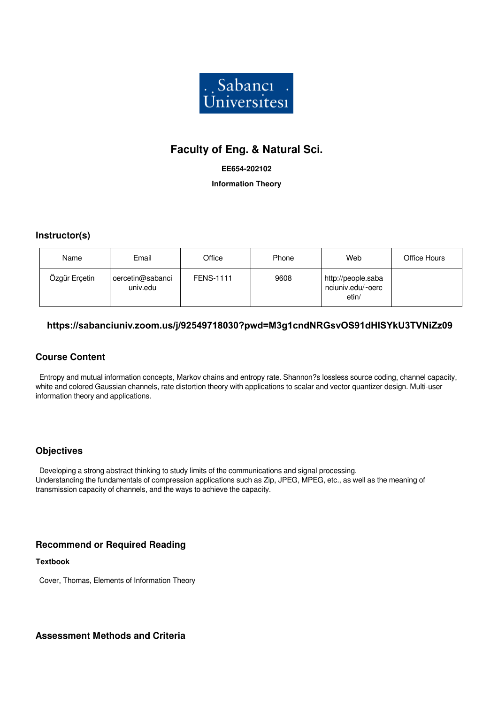

# **Faculty of Eng. & Natural Sci.**

#### **EE654-202102**

**Information Theory**

### **Instructor(s)**

| Name          | Email                        | Office           | Phone | Web                                              | Office Hours |
|---------------|------------------------------|------------------|-------|--------------------------------------------------|--------------|
| Ozgür Erçetin | oercetin@sabanci<br>univ.edu | <b>FENS-1111</b> | 9608  | http://people.saba<br>nciuniv.edu/~oerc<br>etin/ |              |

### **https://sabanciuniv.zoom.us/j/92549718030?pwd=M3g1cndNRGsvOS91dHlSYkU3TVNiZz09**

### **Course Content**

 Entropy and mutual information concepts, Markov chains and entropy rate. Shannon?s lossless source coding, channel capacity, white and colored Gaussian channels, rate distortion theory with applications to scalar and vector quantizer design. Multi-user information theory and applications.

#### **Objectives**

 Developing a strong abstract thinking to study limits of the communications and signal processing. Understanding the fundamentals of compression applications such as Zip, JPEG, MPEG, etc., as well as the meaning of transmission capacity of channels, and the ways to achieve the capacity.

### **Recommend or Required Reading**

#### **Textbook**

Cover, Thomas, Elements of Information Theory

**Assessment Methods and Criteria**